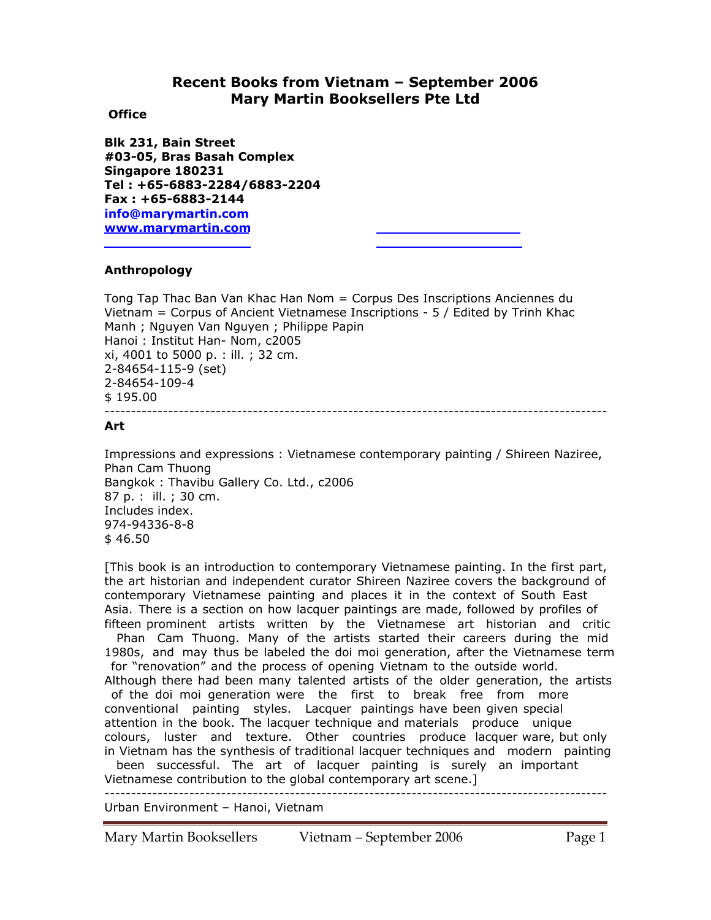# **Recent Books from Vietnam – September 2006 Mary Martin Booksellers Pte Ltd**

### **Office**

**Blk 231, Bain Street #03-05, Bras Basah Complex Singapore 180231 Tel : +65-6883-2284/6883-2204 Fax : +65-6883-2144 info@marymartin.com www.marymartin.com**

## **Anthropology**

Tong Tap Thac Ban Van Khac Han Nom = Corpus Des Inscriptions Anciennes du Vietnam = Corpus of Ancient Vietnamese Inscriptions - 5 / Edited by Trinh Khac Manh ; Nguyen Van Nguyen ; Philippe Papin Hanoi : Institut Han- Nom, c2005 xi, 4001 to 5000 p. : ill. ; 32 cm. 2-84654-115-9 (set) 2-84654-109-4 \$ 195.00 -----------------------------------------------------------------------------------------------

#### **Art**

Impressions and expressions : Vietnamese contemporary painting / Shireen Naziree, Phan Cam Thuong Bangkok : Thavibu Gallery Co. Ltd., c2006 87 p. : ill. ; 30 cm. Includes index. 974-94336-8-8  $$46.50$ 

[This book is an introduction to contemporary Vietnamese painting. In the first part, the art historian and independent curator Shireen Naziree covers the background of contemporary Vietnamese painting and places it in the context of South East Asia. There is a section on how lacquer paintings are made, followed by profiles of fifteen prominent artists written by the Vietnamese art historian and critic

 Phan Cam Thuong. Many of the artists started their careers during the mid 1980s, and may thus be labeled the doi moi generation, after the Vietnamese term for "renovation" and the process of opening Vietnam to the outside world. Although there had been many talented artists of the older generation, the artists of the doi moi generation were the first to break free from more conventional painting styles. Lacquer paintings have been given special attention in the book. The lacquer technique and materials produce unique colours, luster and texture. Other countries produce lacquer ware, but only in Vietnam has the synthesis of traditional lacquer techniques and modern painting

 been successful. The art of lacquer painting is surely an important Vietnamese contribution to the global contemporary art scene.] -----------------------------------------------------------------------------------------------

Urban Environment – Hanoi, Vietnam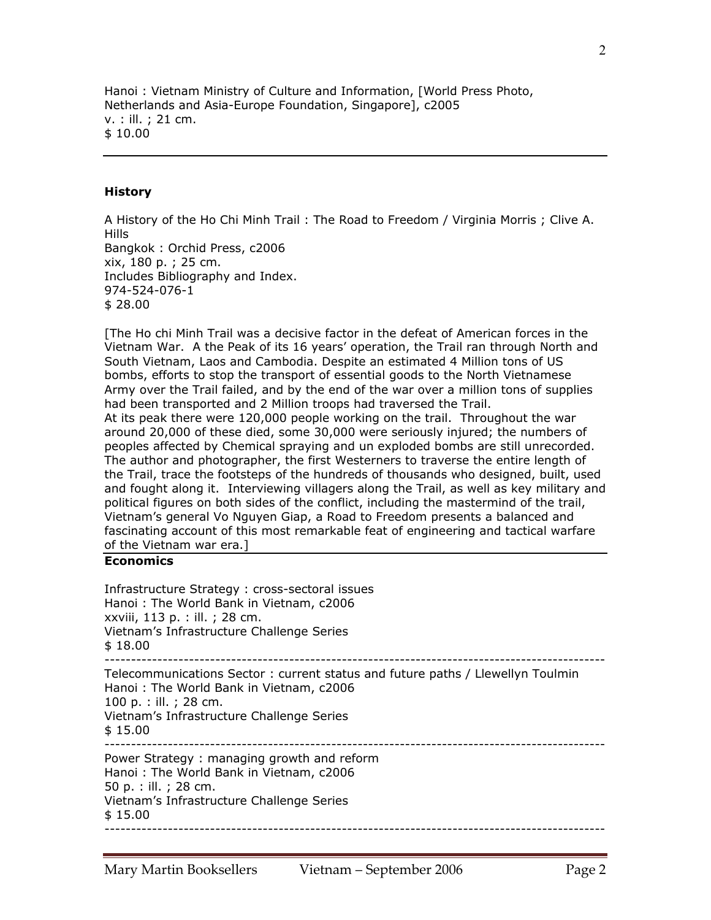Hanoi : Vietnam Ministry of Culture and Information, [World Press Photo, Netherlands and Asia-Europe Foundation, Singapore], c2005 v. : ill. ; 21 cm. \$ 10.00

### **History**

A History of the Ho Chi Minh Trail : The Road to Freedom / Virginia Morris ; Clive A. Hills Bangkok : Orchid Press, c2006 xix, 180 p. ; 25 cm. Includes Bibliography and Index. 974-524-076-1 \$ 28.00

[The Ho chi Minh Trail was a decisive factor in the defeat of American forces in the Vietnam War. A the Peak of its 16 years' operation, the Trail ran through North and South Vietnam, Laos and Cambodia. Despite an estimated 4 Million tons of US bombs, efforts to stop the transport of essential goods to the North Vietnamese Army over the Trail failed, and by the end of the war over a million tons of supplies had been transported and 2 Million troops had traversed the Trail. At its peak there were 120,000 people working on the trail. Throughout the war around 20,000 of these died, some 30,000 were seriously injured; the numbers of peoples affected by Chemical spraying and un exploded bombs are still unrecorded. The author and photographer, the first Westerners to traverse the entire length of the Trail, trace the footsteps of the hundreds of thousands who designed, built, used and fought along it. Interviewing villagers along the Trail, as well as key military and political figures on both sides of the conflict, including the mastermind of the trail, Vietnam's general Vo Nguyen Giap, a Road to Freedom presents a balanced and fascinating account of this most remarkable feat of engineering and tactical warfare of the Vietnam war era.]

#### **Economics**

| Infrastructure Strategy : cross-sectoral issues<br>Hanoi: The World Bank in Vietnam, c2006<br>xxviii, 113 p. : ill. ; 28 cm.<br>Vietnam's Infrastructure Challenge Series<br>\$18.00                        |
|-------------------------------------------------------------------------------------------------------------------------------------------------------------------------------------------------------------|
| Telecommunications Sector: current status and future paths / Llewellyn Toulmin<br>Hanoi: The World Bank in Vietnam, c2006<br>100 p. : ill. ; 28 cm.<br>Vietnam's Infrastructure Challenge Series<br>\$15.00 |
| Power Strategy: managing growth and reform<br>Hanoi: The World Bank in Vietnam, c2006<br>50 p. : ill. ; 28 cm.<br>Vietnam's Infrastructure Challenge Series<br>\$15.00                                      |